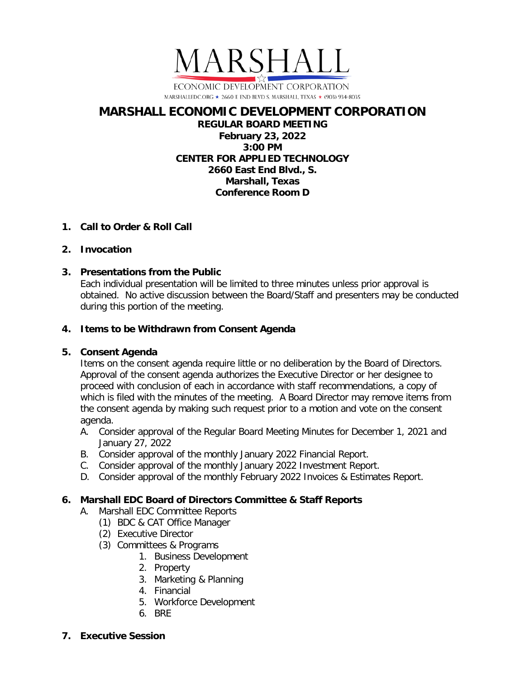

## **MARSHALL ECONOMIC DEVELOPMENT CORPORATION REGULAR BOARD MEETING February 23, 2022 3:00 PM CENTER FOR APPLIED TECHNOLOGY 2660 East End Blvd., S. Marshall, Texas Conference Room D**

# **1. Call to Order & Roll Call**

# **2. Invocation**

# **3. Presentations from the Public**

Each individual presentation will be limited to three minutes unless prior approval is obtained. No active discussion between the Board/Staff and presenters may be conducted during this portion of the meeting.

# **4. Items to be Withdrawn from Consent Agenda**

# **5. Consent Agenda**

Items on the consent agenda require little or no deliberation by the Board of Directors. Approval of the consent agenda authorizes the Executive Director or her designee to proceed with conclusion of each in accordance with staff recommendations, a copy of which is filed with the minutes of the meeting. A Board Director may remove items from the consent agenda by making such request prior to a motion and vote on the consent agenda.

- A. Consider approval of the Regular Board Meeting Minutes for December 1, 2021 and January 27, 2022
- B. Consider approval of the monthly January 2022 Financial Report.
- C. Consider approval of the monthly January 2022 Investment Report.
- D. Consider approval of the monthly February 2022 Invoices & Estimates Report.

# **6. Marshall EDC Board of Directors Committee & Staff Reports**

- A. Marshall EDC Committee Reports
	- (1) BDC & CAT Office Manager
	- (2) Executive Director
	- (3) Committees & Programs
		- 1. Business Development
		- 2. Property
		- 3. Marketing & Planning
		- 4. Financial
		- 5. Workforce Development
		- 6. BRE
- **7. Executive Session**